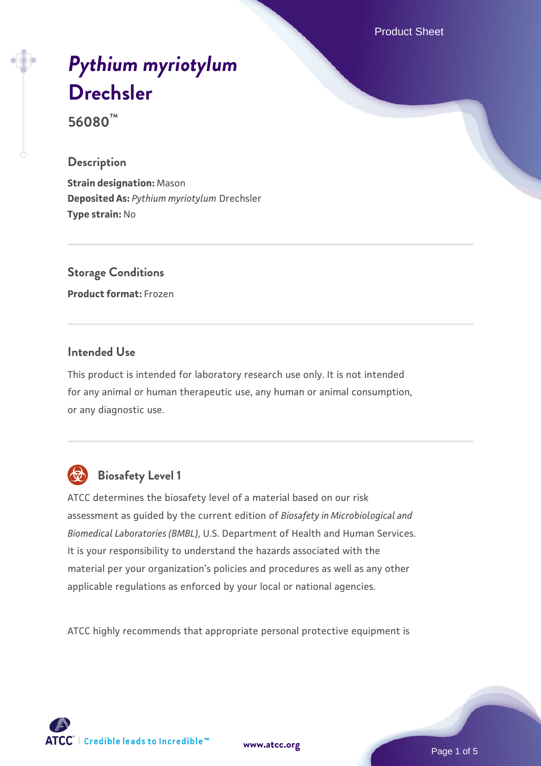Product Sheet

# *[Pythium myriotylum](https://www.atcc.org/products/56080)* **[Drechsler](https://www.atcc.org/products/56080)**

**56080™**

#### **Description**

**Strain designation:** Mason **Deposited As:** *Pythium myriotylum* Drechsler **Type strain:** No

**Storage Conditions Product format:** Frozen

#### **Intended Use**

This product is intended for laboratory research use only. It is not intended for any animal or human therapeutic use, any human or animal consumption, or any diagnostic use.



# **Biosafety Level 1**

ATCC determines the biosafety level of a material based on our risk assessment as guided by the current edition of *Biosafety in Microbiological and Biomedical Laboratories (BMBL)*, U.S. Department of Health and Human Services. It is your responsibility to understand the hazards associated with the material per your organization's policies and procedures as well as any other applicable regulations as enforced by your local or national agencies.

ATCC highly recommends that appropriate personal protective equipment is

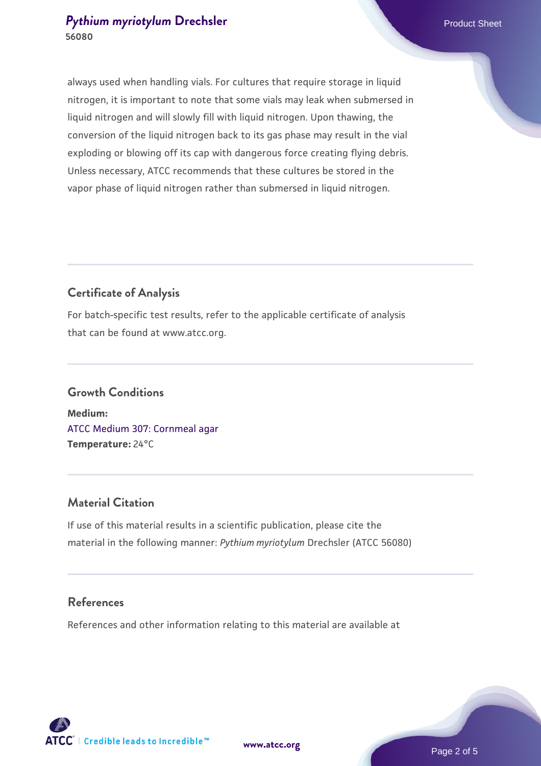#### **[Pythium myriotylum](https://www.atcc.org/products/56080) [Drechsler](https://www.atcc.org/products/56080) Product Sheet** Product Sheet **56080**

always used when handling vials. For cultures that require storage in liquid nitrogen, it is important to note that some vials may leak when submersed in liquid nitrogen and will slowly fill with liquid nitrogen. Upon thawing, the conversion of the liquid nitrogen back to its gas phase may result in the vial exploding or blowing off its cap with dangerous force creating flying debris. Unless necessary, ATCC recommends that these cultures be stored in the vapor phase of liquid nitrogen rather than submersed in liquid nitrogen.

# **Certificate of Analysis**

For batch-specific test results, refer to the applicable certificate of analysis that can be found at www.atcc.org.

# **Growth Conditions Medium:**  [ATCC Medium 307: Cornmeal agar](https://www.atcc.org/-/media/product-assets/documents/microbial-media-formulations/3/0/7/atcc-medium-307.pdf?rev=5cd8aaa5fcde44f5873396cc2a06f590) **Temperature:** 24°C

## **Material Citation**

If use of this material results in a scientific publication, please cite the material in the following manner: *Pythium myriotylum* Drechsler (ATCC 56080)

## **References**

References and other information relating to this material are available at



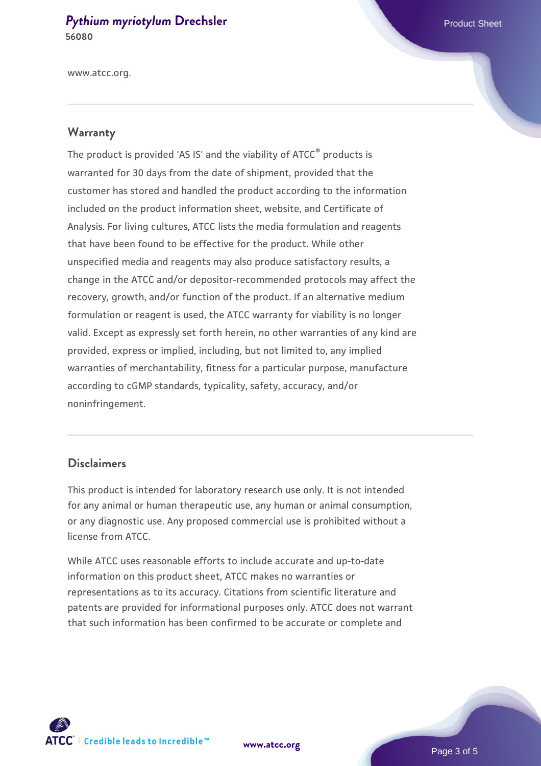#### **[Pythium myriotylum](https://www.atcc.org/products/56080) [Drechsler](https://www.atcc.org/products/56080) Product Sheet** Product Sheet **56080**

www.atcc.org.

#### **Warranty**

The product is provided 'AS IS' and the viability of ATCC® products is warranted for 30 days from the date of shipment, provided that the customer has stored and handled the product according to the information included on the product information sheet, website, and Certificate of Analysis. For living cultures, ATCC lists the media formulation and reagents that have been found to be effective for the product. While other unspecified media and reagents may also produce satisfactory results, a change in the ATCC and/or depositor-recommended protocols may affect the recovery, growth, and/or function of the product. If an alternative medium formulation or reagent is used, the ATCC warranty for viability is no longer valid. Except as expressly set forth herein, no other warranties of any kind are provided, express or implied, including, but not limited to, any implied warranties of merchantability, fitness for a particular purpose, manufacture according to cGMP standards, typicality, safety, accuracy, and/or noninfringement.

#### **Disclaimers**

This product is intended for laboratory research use only. It is not intended for any animal or human therapeutic use, any human or animal consumption, or any diagnostic use. Any proposed commercial use is prohibited without a license from ATCC.

While ATCC uses reasonable efforts to include accurate and up-to-date information on this product sheet, ATCC makes no warranties or representations as to its accuracy. Citations from scientific literature and patents are provided for informational purposes only. ATCC does not warrant that such information has been confirmed to be accurate or complete and



**[www.atcc.org](http://www.atcc.org)**

Page 3 of 5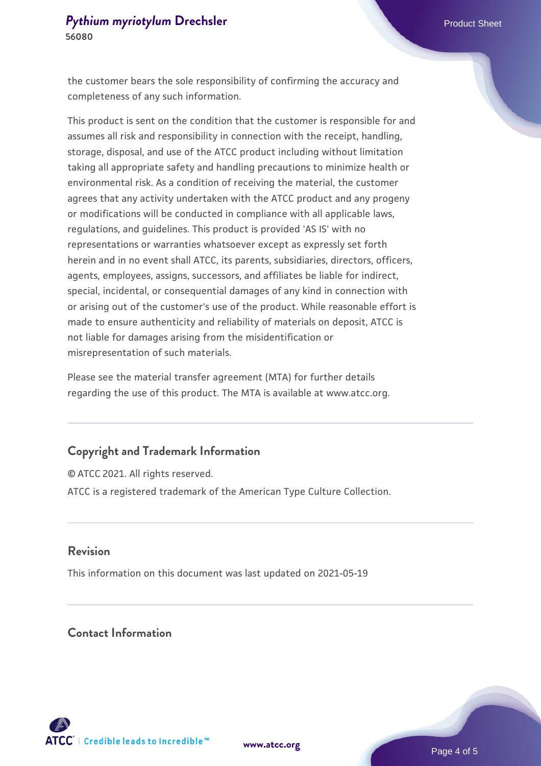the customer bears the sole responsibility of confirming the accuracy and completeness of any such information.

This product is sent on the condition that the customer is responsible for and assumes all risk and responsibility in connection with the receipt, handling, storage, disposal, and use of the ATCC product including without limitation taking all appropriate safety and handling precautions to minimize health or environmental risk. As a condition of receiving the material, the customer agrees that any activity undertaken with the ATCC product and any progeny or modifications will be conducted in compliance with all applicable laws, regulations, and guidelines. This product is provided 'AS IS' with no representations or warranties whatsoever except as expressly set forth herein and in no event shall ATCC, its parents, subsidiaries, directors, officers, agents, employees, assigns, successors, and affiliates be liable for indirect, special, incidental, or consequential damages of any kind in connection with or arising out of the customer's use of the product. While reasonable effort is made to ensure authenticity and reliability of materials on deposit, ATCC is not liable for damages arising from the misidentification or misrepresentation of such materials.

Please see the material transfer agreement (MTA) for further details regarding the use of this product. The MTA is available at www.atcc.org.

## **Copyright and Trademark Information**

© ATCC 2021. All rights reserved. ATCC is a registered trademark of the American Type Culture Collection.

#### **Revision**

This information on this document was last updated on 2021-05-19

## **Contact Information**